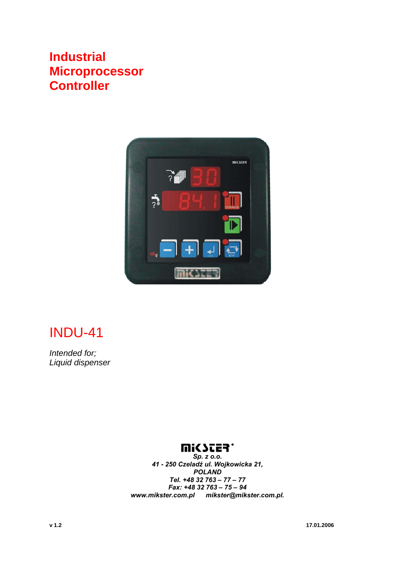# **Industrial Microprocessor Controller**



# INDU-41

*Intended for; Liquid dispenser* 

# **UISSES.**

*Sp. z o.o. 41 - 250 Czeladź ul. Wojkowicka 21, POLAND Tel. +48 32 763 – 77 – 77 Fax: +48 32 763 – 75 – 94 www.mikster.com.pl mikster@mikster.com.pl.* 

**v 1.2 17.01.2006**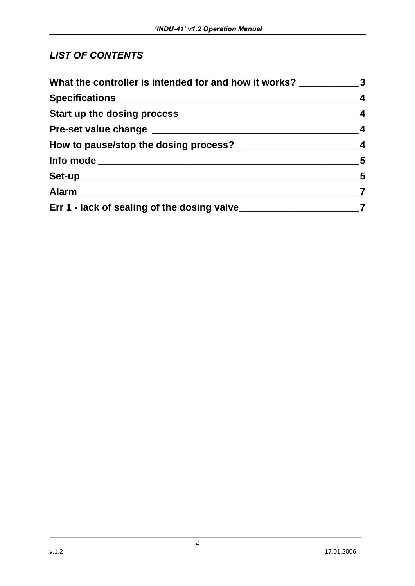# *LIST OF CONTENTS*

| What the controller is intended for and how it works? ___________________________ |                         |
|-----------------------------------------------------------------------------------|-------------------------|
|                                                                                   | $\overline{\mathbf{4}}$ |
|                                                                                   | $\overline{\mathbf{4}}$ |
|                                                                                   | $\overline{\mathbf{4}}$ |
|                                                                                   |                         |
| Info mode ___________________________________                                     | $-5$                    |
| Set-up __________________________________                                         | $-5$                    |
|                                                                                   |                         |
|                                                                                   |                         |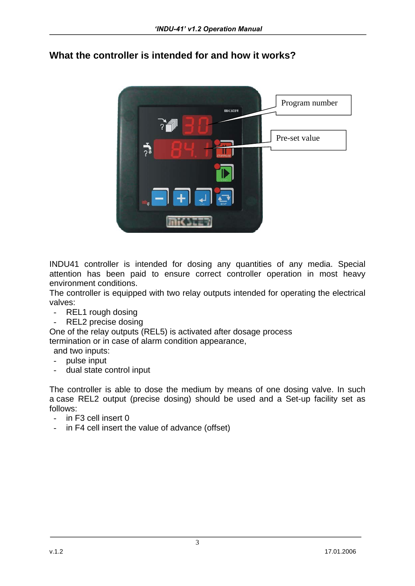# Program number micster Pre-set value  $\frac{1}{2}$

#### **What the controller is intended for and how it works?**

INDU41 controller is intended for dosing any quantities of any media. Special attention has been paid to ensure correct controller operation in most heavy environment conditions.

The controller is equipped with two relay outputs intended for operating the electrical valves:

- REL1 rough dosing
- REL2 precise dosing

One of the relay outputs (REL5) is activated after dosage process termination or in case of alarm condition appearance,

- and two inputs:
- pulse input
- dual state control input

The controller is able to dose the medium by means of one dosing valve. In such a case REL2 output (precise dosing) should be used and a Set-up facility set as follows:

3

- $-$  in F3 cell insert 0
- in F4 cell insert the value of advance (offset)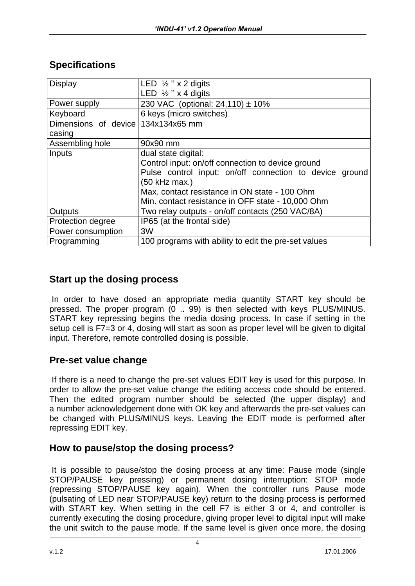# **Specifications**

| Display                            | LED $\frac{1}{2}$ " x 2 digits                          |  |  |
|------------------------------------|---------------------------------------------------------|--|--|
|                                    | LED $\frac{1}{2}$ " x 4 digits                          |  |  |
| Power supply                       | 230 VAC (optional: $24,110$ ) $\pm 10\%$                |  |  |
| Keyboard                           | 6 keys (micro switches)                                 |  |  |
| Dimensions of device 134x134x65 mm |                                                         |  |  |
| casing                             |                                                         |  |  |
| Assembling hole                    | 90x90 mm                                                |  |  |
| Inputs                             | dual state digital:                                     |  |  |
|                                    | Control input: on/off connection to device ground       |  |  |
|                                    | Pulse control input: on/off connection to device ground |  |  |
|                                    | (50 kHz max.)                                           |  |  |
|                                    | Max. contact resistance in ON state - 100 Ohm           |  |  |
|                                    | Min. contact resistance in OFF state - 10,000 Ohm       |  |  |
| <b>Outputs</b>                     | Two relay outputs - on/off contacts (250 VAC/8A)        |  |  |
| Protection degree                  | IP65 (at the frontal side)                              |  |  |
| Power consumption                  | 3W                                                      |  |  |
| Programming                        | 100 programs with ability to edit the pre-set values    |  |  |

### **Start up the dosing process**

 In order to have dosed an appropriate media quantity START key should be pressed. The proper program (0 .. 99) is then selected with keys PLUS/MINUS. START key repressing begins the media dosing process. In case if setting in the setup cell is F7=3 or 4, dosing will start as soon as proper level will be given to digital input. Therefore, remote controlled dosing is possible.

## **Pre-set value change**

 If there is a need to change the pre-set values EDIT key is used for this purpose. In order to allow the pre-set value change the editing access code should be entered. Then the edited program number should be selected (the upper display) and a number acknowledgement done with OK key and afterwards the pre-set values can be changed with PLUS/MINUS keys. Leaving the EDIT mode is performed after repressing EDIT key.

## **How to pause/stop the dosing process?**

 It is possible to pause/stop the dosing process at any time: Pause mode (single STOP/PAUSE key pressing) or permanent dosing interruption: STOP mode (repressing STOP/PAUSE key again). When the controller runs Pause mode (pulsating of LED near STOP/PAUSE key) return to the dosing process is performed with START key. When setting in the cell F7 is either 3 or 4, and controller is currently executing the dosing procedure, giving proper level to digital input will make the unit switch to the pause mode. If the same level is given once more, the dosing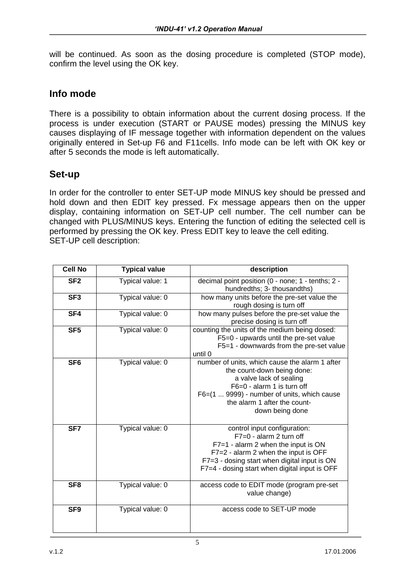will be continued. As soon as the dosing procedure is completed (STOP mode), confirm the level using the OK key.

#### **Info mode**

There is a possibility to obtain information about the current dosing process. If the process is under execution (START or PAUSE modes) pressing the MINUS key causes displaying of IF message together with information dependent on the values originally entered in Set-up F6 and F11cells. Info mode can be left with OK key or after 5 seconds the mode is left automatically.

#### **Set-up**

In order for the controller to enter SET-UP mode MINUS key should be pressed and hold down and then EDIT key pressed. Fx message appears then on the upper display, containing information on SET-UP cell number. The cell number can be changed with PLUS/MINUS keys. Entering the function of editing the selected cell is performed by pressing the OK key. Press EDIT key to leave the cell editing. SET-UP cell description:

| <b>Cell No</b>  | <b>Typical value</b> | description                                                                                                                                                                                                                               |
|-----------------|----------------------|-------------------------------------------------------------------------------------------------------------------------------------------------------------------------------------------------------------------------------------------|
| SF <sub>2</sub> | Typical value: 1     | decimal point position (0 - none; 1 - tenths; 2 -<br>hundredths; 3- thousandths)                                                                                                                                                          |
| SF <sub>3</sub> | Typical value: 0     | how many units before the pre-set value the<br>rough dosing is turn off                                                                                                                                                                   |
| SF4             | Typical value: 0     | how many pulses before the pre-set value the<br>precise dosing is turn off                                                                                                                                                                |
| SF <sub>5</sub> | Typical value: 0     | counting the units of the medium being dosed:<br>F5=0 - upwards until the pre-set value<br>F5=1 - downwards from the pre-set value<br>until 0                                                                                             |
| SF <sub>6</sub> | Typical value: 0     | number of units, which cause the alarm 1 after<br>the count-down being done:<br>a valve lack of sealing<br>F6=0 - alarm 1 is turn off<br>F6=(1  9999) - number of units, which cause<br>the alarm 1 after the count-<br>down being done   |
| SF7             | Typical value: 0     | control input configuration:<br>F7=0 - alarm 2 turn off<br>$F7=1$ - alarm 2 when the input is ON<br>F7=2 - alarm 2 when the input is OFF<br>F7=3 - dosing start when digital input is ON<br>F7=4 - dosing start when digital input is OFF |
| SF <sub>8</sub> | Typical value: 0     | access code to EDIT mode (program pre-set<br>value change)                                                                                                                                                                                |
| SF <sub>9</sub> | Typical value: 0     | access code to SET-UP mode                                                                                                                                                                                                                |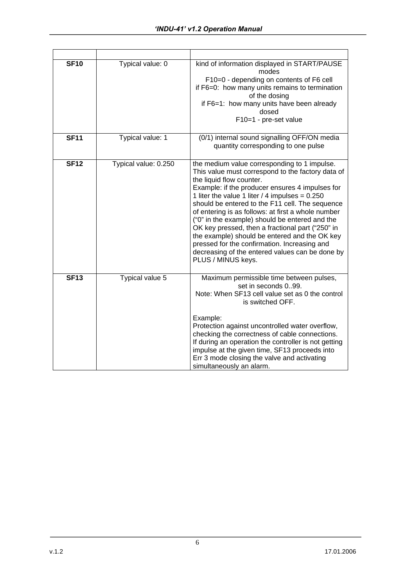| <b>SF10</b> | Typical value: 0     | kind of information displayed in START/PAUSE<br>modes<br>F10=0 - depending on contents of F6 cell<br>if F6=0: how many units remains to termination<br>of the dosing<br>if F6=1: how many units have been already<br>dosed<br>F10=1 - pre-set value                                                                                                                                                                                                                                                                                                                                                                           |
|-------------|----------------------|-------------------------------------------------------------------------------------------------------------------------------------------------------------------------------------------------------------------------------------------------------------------------------------------------------------------------------------------------------------------------------------------------------------------------------------------------------------------------------------------------------------------------------------------------------------------------------------------------------------------------------|
| <b>SF11</b> | Typical value: 1     | (0/1) internal sound signalling OFF/ON media<br>quantity corresponding to one pulse                                                                                                                                                                                                                                                                                                                                                                                                                                                                                                                                           |
| <b>SF12</b> | Typical value: 0.250 | the medium value corresponding to 1 impulse.<br>This value must correspond to the factory data of<br>the liquid flow counter.<br>Example: if the producer ensures 4 impulses for<br>1 liter the value 1 liter / 4 impulses = $0.250$<br>should be entered to the F11 cell. The sequence<br>of entering is as follows: at first a whole number<br>("0" in the example) should be entered and the<br>OK key pressed, then a fractional part ("250" in<br>the example) should be entered and the OK key<br>pressed for the confirmation. Increasing and<br>decreasing of the entered values can be done by<br>PLUS / MINUS keys. |
| <b>SF13</b> | Typical value 5      | Maximum permissible time between pulses,<br>set in seconds 099.<br>Note: When SF13 cell value set as 0 the control<br>is switched OFF.<br>Example:<br>Protection against uncontrolled water overflow,<br>checking the correctness of cable connections.<br>If during an operation the controller is not getting<br>impulse at the given time, SF13 proceeds into<br>Err 3 mode closing the valve and activating<br>simultaneously an alarm.                                                                                                                                                                                   |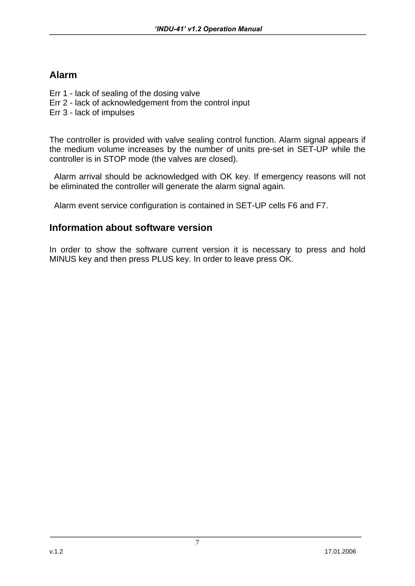# **Alarm**

- Err 1 lack of sealing of the dosing valve
- Err 2 lack of acknowledgement from the control input
- Err 3 lack of impulses

The controller is provided with valve sealing control function. Alarm signal appears if the medium volume increases by the number of units pre-set in SET-UP while the controller is in STOP mode (the valves are closed).

 Alarm arrival should be acknowledged with OK key. If emergency reasons will not be eliminated the controller will generate the alarm signal again.

Alarm event service configuration is contained in SET-UP cells F6 and F7.

### **Information about software version**

In order to show the software current version it is necessary to press and hold MINUS key and then press PLUS key. In order to leave press OK.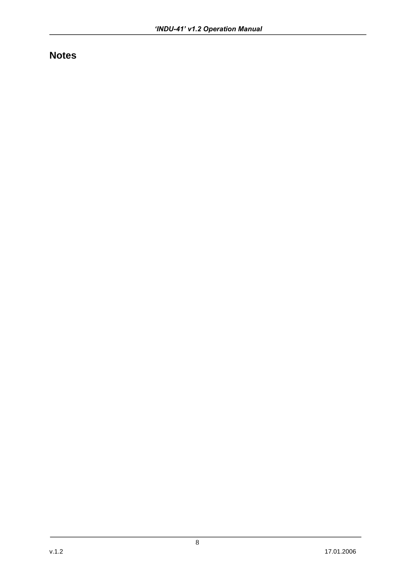#### **Notes**